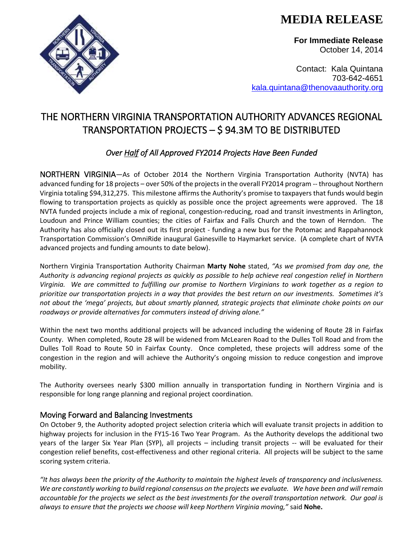**MEDIA RELEASE** 

**For Immediate Release** October 14, 2014

Contact: Kala Quintana 703-642-4651 [kala.quintana@thenovaauthority.org](mailto:kala.quintana@thenovaauthority.org)

## THE NORTHERN VIRGINIA TRANSPORTATION AUTHORITY ADVANCES REGIONAL TRANSPORTATION PROJECTS – \$ 94.3M TO BE DISTRIBUTED

### *Over Half of All Approved FY2014 Projects Have Been Funded*

NORTHERN VIRGINIA—As of October 2014 the Northern Virginia Transportation Authority (NVTA) has advanced funding for 18 projects – over 50% of the projects in the overall FY2014 program -- throughout Northern Virginia totaling \$94,312,275. This milestone affirms the Authority's promise to taxpayers that funds would begin flowing to transportation projects as quickly as possible once the project agreements were approved. The 18 NVTA funded projects include a mix of regional, congestion-reducing, road and transit investments in Arlington, Loudoun and Prince William counties; the cities of Fairfax and Falls Church and the town of Herndon. The Authority has also officially closed out its first project - funding a new bus for the Potomac and Rappahannock Transportation Commission's OmniRide inaugural Gainesville to Haymarket service. (A complete chart of NVTA advanced projects and funding amounts to date below).

Northern Virginia Transportation Authority Chairman **Marty Nohe** stated, *"As we promised from day one, the Authority is advancing regional projects as quickly as possible to help achieve real congestion relief in Northern Virginia. We are committed to fulfilling our promise to Northern Virginians to work together as a region to prioritize our transportation projects in a way that provides the best return on our investments. Sometimes it's not about the 'mega' projects, but about smartly planned, strategic projects that eliminate choke points on our roadways or provide alternatives for commuters instead of driving alone."* 

Within the next two months additional projects will be advanced including the widening of Route 28 in Fairfax County. When completed, Route 28 will be widened from McLearen Road to the Dulles Toll Road and from the Dulles Toll Road to Route 50 in Fairfax County. Once completed, these projects will address some of the congestion in the region and will achieve the Authority's ongoing mission to reduce congestion and improve mobility.

The Authority oversees nearly \$300 million annually in transportation funding in Northern Virginia and is responsible for long range planning and regional project coordination.

### Moving Forward and Balancing Investments

On October 9, the Authority adopted project selection criteria which will evaluate transit projects in addition to highway projects for inclusion in the FY15-16 Two Year Program. As the Authority develops the additional two years of the larger Six Year Plan (SYP), all projects – including transit projects -- will be evaluated for their congestion relief benefits, cost-effectiveness and other regional criteria. All projects will be subject to the same scoring system criteria.

*"It has always been the priority of the Authority to maintain the highest levels of transparency and inclusiveness. We are constantly working to build regional consensus on the projects we evaluate. We have been and will remain accountable for the projects we select as the best investments for the overall transportation network. Our goal is always to ensure that the projects we choose will keep Northern Virginia moving,"* said **Nohe.**

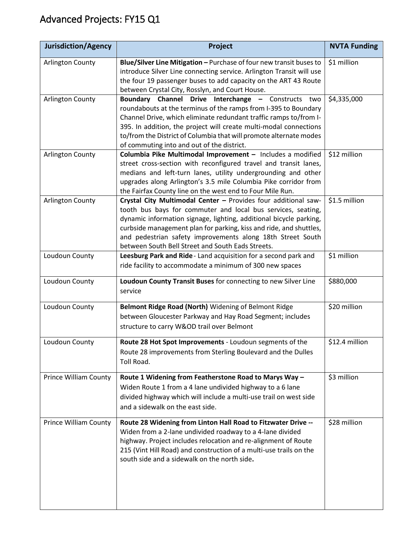# Advanced Projects: FY15 Q1

| <b>Jurisdiction/Agency</b>   | Project                                                                                                                                                                                                                                                                                                                                                                                       | <b>NVTA Funding</b> |
|------------------------------|-----------------------------------------------------------------------------------------------------------------------------------------------------------------------------------------------------------------------------------------------------------------------------------------------------------------------------------------------------------------------------------------------|---------------------|
| <b>Arlington County</b>      | Blue/Silver Line Mitigation - Purchase of four new transit buses to<br>introduce Silver Line connecting service. Arlington Transit will use<br>the four 19 passenger buses to add capacity on the ART 43 Route<br>between Crystal City, Rosslyn, and Court House.                                                                                                                             | \$1 million         |
| Arlington County             | Boundary Channel Drive Interchange - Constructs two<br>roundabouts at the terminus of the ramps from I-395 to Boundary<br>Channel Drive, which eliminate redundant traffic ramps to/from I-<br>395. In addition, the project will create multi-modal connections<br>to/from the District of Columbia that will promote alternate modes<br>of commuting into and out of the district.          | \$4,335,000         |
| Arlington County             | Columbia Pike Multimodal Improvement - Includes a modified<br>street cross-section with reconfigured travel and transit lanes,<br>medians and left-turn lanes, utility undergrounding and other<br>upgrades along Arlington's 3.5 mile Columbia Pike corridor from<br>the Fairfax County line on the west end to Four Mile Run.                                                               | \$12 million        |
| <b>Arlington County</b>      | Crystal City Multimodal Center - Provides four additional saw-<br>tooth bus bays for commuter and local bus services, seating,<br>dynamic information signage, lighting, additional bicycle parking,<br>curbside management plan for parking, kiss and ride, and shuttles,<br>and pedestrian safety improvements along 18th Street South<br>between South Bell Street and South Eads Streets. | \$1.5 million       |
| Loudoun County               | Leesburg Park and Ride - Land acquisition for a second park and<br>ride facility to accommodate a minimum of 300 new spaces                                                                                                                                                                                                                                                                   | \$1 million         |
| Loudoun County               | Loudoun County Transit Buses for connecting to new Silver Line<br>service                                                                                                                                                                                                                                                                                                                     | \$880,000           |
| Loudoun County               | Belmont Ridge Road (North) Widening of Belmont Ridge<br>between Gloucester Parkway and Hay Road Segment; includes<br>structure to carry W&OD trail over Belmont                                                                                                                                                                                                                               | \$20 million        |
| Loudoun County               | Route 28 Hot Spot Improvements - Loudoun segments of the<br>Route 28 improvements from Sterling Boulevard and the Dulles<br>Toll Road.                                                                                                                                                                                                                                                        | \$12.4 million      |
| <b>Prince William County</b> | Route 1 Widening from Featherstone Road to Marys Way -<br>Widen Route 1 from a 4 lane undivided highway to a 6 lane<br>divided highway which will include a multi-use trail on west side<br>and a sidewalk on the east side.                                                                                                                                                                  | \$3 million         |
| <b>Prince William County</b> | Route 28 Widening from Linton Hall Road to Fitzwater Drive --<br>Widen from a 2-lane undivided roadway to a 4-lane divided<br>highway. Project includes relocation and re-alignment of Route<br>215 (Vint Hill Road) and construction of a multi-use trails on the<br>south side and a sidewalk on the north side.                                                                            | \$28 million        |